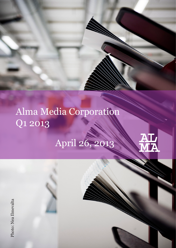# Alma Media Corporation Q1 2013

# April 26, 2013

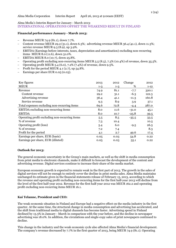# Alma Media's Interim Report for January - March 2013: INTERNATIONAL OPERATIONS OFFSET THE WEAKENED RESULT IN FINLAND

#### **Financial performance January - March 2013:**

- Revenue MEUR 74.9 (81.1), down 7.7%.
- Content revenue MEUR 29.2 (31.1), down 6.3%; advertising revenue MEUR 36.4 (41.1), down 11.3%; service revenue MEUR 9.3 (8.9), up 3.9%.
- EBITDA (Earnings before interests, taxes, depreciation and amortisation) excluding non-recurring items MEUR 8.0 (11.6), down 31.0%.
- EBITDA MEUR 8.0 (10.7), down 25.8%.
- Operating profit excluding non-recurring items MEUR 5.5 (8.5), 7.3% (10.4%) of revenue, down 35.5%.
- Operating profit MEUR 5.4 (6.0), 7.2% (7.4%) of revenue, down 9.5%.
- Profit for the period MEUR 4.1 (2.7), up 54.8%.
- Earnings per share EUR 0.05 (0.03).

| Key figures                                    | 2013    | 2012    | Change  | 2012     |
|------------------------------------------------|---------|---------|---------|----------|
| <b>MEUR</b>                                    | $1 - 3$ | $1 - 3$ | %       | $1 - 12$ |
| Revenue                                        | 74.9    | 81.1    | $-7.7$  | 320.1    |
| Content revenue                                | 29.2    | 31.1    | $-6.3$  | 122.3    |
| Advertising revenue                            | 36.4    | 41.1    | $-11.3$ | 160.8    |
| Service revenue                                | 9.3     | 8.9     | 3.9     | 37.1     |
| Total expenses excluding non-recurring items   | 69.6    | 72.8    | $-4.4$  | 287.0    |
| EBITDA excluding non-recurring items           | 8.0     | 11.6    | $-31.0$ | 45.1     |
| <b>EBITDA</b>                                  | 8.0     | 10.7    | $-25.8$ | 39.5     |
| Operating profit excluding non-recurring items | 5.5     | 8.5     | $-35.5$ | 33.5     |
| % of revenue                                   | 7.3     | 10.4    |         | 10.5     |
| Operating profit (loss)                        | 5.4     | 6.0     | $-9.5$  | 26.5     |
| % of revenue                                   | 7.2     | 7.4     |         | 8.3      |
| Profit for the period                          | 4.1     | 2.7     | 49.6    | 17.4     |
| Earnings per share, EUR (basic)                | 0.05    | 0.03    | 54.8    | 0.22     |
| Earnings per share, EUR (diluted)              | 0.05    | 0.03    | 55.1    | 0.22     |

#### **Outlook for 2013:**

The general economic uncertainty in the Group's main markets, as well as the shift in media consumption from print media to electronic channels, make it difficult to forecast the development of the content and advertising revenue. Digital services continue to increase their share of the media market.

European economic growth is expected to remain weak in the first part of 2013. The growth in the sales of digital services will not be enough to entirely cover the decline in print media sales. Alma Media maintains unchanged its estimate given in the financial statements release of February 15, 2013, according to which the revenue and operating profit excluding non-recurring items for the first half-year 2013 will decline from the level of the first half-year 2012. Revenue for the first half-year 2012 was MEUR 162.2 and operating profit excluding non-recurring items MEUR 16.1.

#### **Kai Telanne, President and CEO:**

The weak economic situation in Finland and Europe had a negative effect on the media industry in the first quarter. At the same time, the structural change in media consumption and advertising has accelerated, and the shift from traditional media to digital channels has become faster. Advertising spend in Finland declined by 13.3% in January - March in comparison with the year before, and the decline in newspaper advertising was 18.0%. In addition, the circulations and single-copy sales of print newspapers continued to decline.

This change in the industry and the weak economic cycle also affected Alma Media's financial development. The company's revenue decreased by 7.7% in the first quarter of 2013, being MEUR 74.9 (81.1). Operating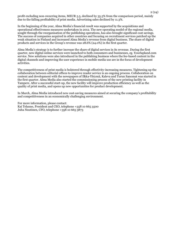profit excluding non-recurring items, MEUR 5.5, declined by 35.5% from the comparison period, mainly due to the falling profitability of print media. Advertising sales declined by 11.3%.

In the beginning of the year, Alma Media's financial result was supported by the acquisitions and operational effectiveness measures undertaken in 2012. The new operating model of the regional media, sought through the reorganisation of the publishing operations, has also brought significant cost savings. The success of companies acquired in other countries and focusing on recruitment services patched up the weak situation in Finland and increased Alma Media's revenue from digital business. The share of digital products and services in the Group's revenue was 28.6% (24.0%) in the first quarter.

Alma Media's strategy is to further increase the share of digital services in its revenue. During the first quarter, new digital online services were launched to both consumers and businesses, eg. Yourlapland.com service. New solutions were also introduced in the publishing business where the fee-based content in the digital channels and improving the user experience in mobile media use are in the focus of development activities.

The competitiveness of print media is bolstered through effectivity-increasing measures. Tightening up the collaboration between editorial offices to improve reader service is an ongoing process. Collaboration on content and development with the newspapers of Ilkka-Yhtymä, Kaleva and Turun Sanomat was started in the first quarter. Alma Media also started the commissioning process of the new printing facility in Tampere. After a successful start-up, the new facility will improve production efficiency as well as the quality of print media, and opens up new opportunities for product development.

In March, Alma Media introduced new cost-saving measures aimed at securing the company's profitability and competitiveness in an economically challenging environment.

For more information, please contact: Kai Telanne, President and CEO, telephone +358 10 665 3500 Juha Nuutinen, CFO, telephone +358 10 665 3873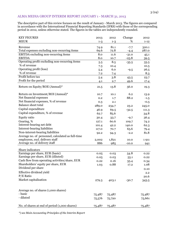# ALMA MEDIA GROUP INTERIM REPORT JANUARY 1 - MARCH 31, 2013

The descriptive part of this review focuses on the result of January - March 2013. The figures are compared in accordance with the International Financial Reporting Standards (IFRS) with those of the corresponding period in 2012, unless otherwise stated. The figures in the tables are independently rounded.

| <b>KEY FIGURES</b>                                | 2013    | 2012    | Change  | 2012     |
|---------------------------------------------------|---------|---------|---------|----------|
| <b>MEUR</b>                                       | $1 - 3$ | $1 - 3$ | %       | $1 - 12$ |
| Revenue                                           | 74.9    | 81.1    | $-7.7$  | 320.1    |
| Total expenses excluding non-recurring items      | 69.6    | 72.8    | $-4.4$  | 287.0    |
| EBITDA excluding non-recurring items              | 8.0     | 11.6    | $-31.0$ | 45.1     |
| <b>EBITDA</b>                                     | 8.0     | 10.7    | $-25.8$ | 39.5     |
| Operating profit excluding non-recurring items    | 5.5     | 8.5     | $-35.5$ | 33.5     |
| % of revenue                                      | 7.3     | 10.4    |         | 10.5     |
| Operating profit (loss)                           | 5.4     | 6.0     | $-9.5$  | 26.5     |
| % of revenue                                      | 7.2     | 7.4     |         | 8.3      |
| Profit before tax                                 | 5.4     | 3.8     | 43.5    | 23.7     |
| Profit for the period                             | 4.1     | 2.7     | 49.6    | 17.4     |
| Return on Equity/ROE (Annual)*                    | 21.5    | 13.8    | 56.0    | 19.3     |
| Return on Investment/ROI (Annual)*                | 10.7    | 10.1    | 6.2     | 13.9     |
| Net financial expenses                            | 0.2     | 1.7     | 88.2    | $-1.5$   |
| Net financial expenses, % of revenue              | 0.3     | 2.1     |         | $-0.5$   |
| <b>Balance sheet total</b>                        | 289.0   | 234.7   | 23.2    | 245.0    |
| Capital expenditure                               | 46.9    | 69.5    | $-32.5$ | 111.3    |
| Capital expenditure, % of revenue                 | 62.7    | 85.6    |         | 34.8     |
| Equity ratio                                      | 30.4    | 33.7    | $-9.7$  | 36.4     |
| Gearing, %                                        | 127.1   | 60.6    | 109.7   | 74.2     |
| Interest-bearing net debt                         | 101.4   | 42.2    | 140.0   | 62.3     |
| Interest-bearing liabilities                      | 117.0   | 70.7    | 65.6    | 79.4     |
| Non-interest-bearing liabilities                  | 92.2    | 94.3    | $-2.2$  | 81.8     |
| Average no. of personnel, calculated as full-time |         |         |         |          |
| employees, excl. delivery staff                   | 2,002   | 1,821   | 10.0    | 1911     |
| Average no. of delivery staff                     | 886     | 985     | $-10.0$ | 941      |
| Share indicators                                  |         |         |         |          |
| Earnings per share, EUR (basic)                   | 0.05    | 0.03    | 54.8    | 0.22     |
| Earnings per share, EUR (diluted)                 | 0.05    | 0.03    | 55.1    | 0.22     |
| Cash flow from operating activities/share, EUR    | 0.22    | 0.16    | 35.4    | 0.34     |
| Shareholders' equity per share, EUR               | 1.03    | 0.88    | 17.2    | 1.08     |
| Dividend per share                                |         |         |         | 0.10     |
| Effective dividend yield                          |         |         |         | 2.2      |
| $P/E$ Ratio                                       |         |         |         | 20.6     |
| Market capitalisation                             | 279.3   | 403.1   | $-30.7$ | 343.5    |
| Average no. of shares (1,000 shares)              |         |         |         |          |
| - basic                                           | 75,487  | 75,487  |         | 75,487   |
| - diluted                                         | 75,576  | 75,720  |         | 75,661   |
| No. of shares at end of period (1,000 shares)     | 75,487  | 75,487  |         | 75,487   |

*\*) see Main Accounting Principles of the Interim Report*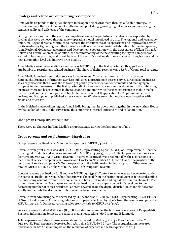### **Strategy and related activities during review period**

Alma Media responds to the quick changes in its operating environment through a flexible strategy. Its cornerstones are the development of multi-channel publishing, growing digital services and increasing the strategic agility and efficiency of the company.

During the first quarter of the year,the competitiveness of the publishing operations was supported by savings that were achieved through a new operating model introduced in 2012. The regional and local paper unit Alma Regional Media continued to increase the effectiveness of its operations and improve the service for its readers by tightening both the internal as well as external editorial collaboration. In the first quarter, Alma Regional Media started content and development cooperation with the newspapers of Ilkka-Yhtymä, Kaleva and Turun Sanomat. In addition, the commissioning of the new printing facility in Tampere was started. The new printing facility will be one of the world's most modern newspaper printing houses and its high automation level will improve print quality.

Alma Media's revenue from digital services was MEUR 21.4 in the first quarter. Of this, 39% was attributable to recruitment-related business. The share of digital revenue was 28.6% of Group total revenue.

Alma Media launched new digital services for consumers, Yourlapland.com and Sisustusovi.com. Kauppalehti Business Information Services published a procurement search service directed at businesses' sales organisations that allows the following of public procurement announcements and managing incompany tender processes. In the first quarter, digital services also saw new development in the publishing business where fee-based content in digital channels and improving the user experience in mobile media use are focal points in development. Iltalehti launched a new iOS application for Apple-manufactured devices, and Kauppalehti published a news viewer for Windows smartphones, developed together with Nokia and Microsoft.

In the Helsinki metropolitan region, Alma Media brought all its operations together in the new Alma House by the Töölönlahti Bay in the city centre, thus improving internal efficiencies and collaboration.

# **Changes in Group structure in 2013**

There were no changes in Alma Media's group structure during the first quarter of 2013.

# **Group revenue and result January–March 2013**

Group revenue declined by 7.7% in the first quarter to MEUR 74.9 (81.1).

Revenue from print media was MEUR 47.4 (55.2), representing 63.3% (68.0%) of Group revenue. Revenue from digital products and services amounted to MEUR 21.4 (19.5), up 9.7%. Digital products and services delivered 28.6% (24.0%) of Group revenue. This revenue growth was accelerated by the acquisitions of recruitment service companies in Slovakia and Croatia in November 2012, as well as the acquisition of the recruitment service company CV Online operating in the Baltic region in February 2012. Other revenue totalled MEUR 6.0 (6.3), a share of 8.0% (7.8%) of Group total revenue.

Content revenue declined by 6.3% and was MEUR 29.2 (31.1). Content revenue was earlier reported under the name of circulation revenue, but the term was changed from the beginning of 2013 as it better describes the publishing content revenue from consumers in both print media and digital distribution channels. The content revenue in the Newspapers segment declined from the comparison period's level due to the decreasing number of copies circulated. Content revenue from the digital distribution channels does not wholly compensate the decline in content revenue from print media.

Revenue from advertising sales decreased by 11.3% and was MEUR 36.4 (41.1), representing 48.6% (50.6%) of Group total revenue. Advertising sales for print papers declined by 23.0% from the comparison period to MEUR 19.3 (24.7). Online advertising sales grew by  $7.1\%$  to MEUR 17.1 (15.9).

Service revenue totalled MEUR 9.3 (8.9). It includes, for example, the business operations of Kauppalehti Business Information Services, the custom media house Alma 360 Group and E-kontakti.

Total expenses excluding non-recurring items decreased by MEUR 3.2 or 4.4% and amounted to MEUR 69.6 (72.8). Total expenses decreased by 7.5%, being MEUR 69.6 (75.2). The reorganisation measures undertaken in 2012 had an impact on the reduction of expenses in the first quarter of 2013.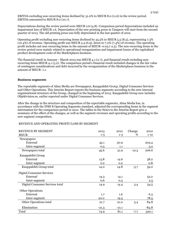EBITDA excluding non-recurring items declined by 31.0% to MEUR 8.0 (11.6) in the review period. EBITDA amounted to MEUR 8.0 (10.7).

Depreciations during the review period were MEUR 2.6 (4.8). Comparison period depreciations included an impairment loss of MEUR 1.6. Depreciation of the new printing press in Tampere will start from the second quarter of 2013. The old printing press was fully depreciated in the last quarter of 2012.

Operating profit excluding non-recurring items declined by 35.5% to MEUR 5.5 (8.5), representing 7.3% (10.4%) of revenue. Operating profit was MEUR 5.4 (6.9), down to 7.2% (7.4%) of revenue. The operating profit includes net non-recurring items in the amount of MEUR -0.03 (-2.5). The non-recurring items in the review period were mainly related to operational reorganisation and impairment losses of the capitalised product development costs of the Marketplaces business.

The financial result in January - March 2013 was MEUR 4.1 (2.7), and financial result excluding nonrecurring items MEUR 4.1 (5.2). The comparison period's financial result included changes in the fair value of contingent considerations and debt incurred by the reorganisation of the Marketplaces business in the amount of MEUR -1.1.

#### **Business segments**

The reportable segments of Alma Media are Newspapers, Kauppalehti Group, Digital Consumer Services and Other Operations. This Interim Report reports the business segments according to the new internal organisational structure of the Group, changed in the beginning of 2013. Kauppalehti Group now includes Objektvision.se, earlier reported under Digital Consumer Services.

After the change in the structure and composition of the reportable segments, Alma Media has, in accordance with the IFRS 8 Operating Segments standard, adjusted the corresponding items in the segment information for the comparison period in 2012. The tables in the Notes to the Interim Report give a summary of the effect of the changes, as well as the segment revenues and operating profits according to the new segment composition.

#### REVENUE AND OPERATING PROFIT/LOSS BY SEGMENT

| REVENUE BY SEGMENT               | 2013    | 2012    | Change  | 2012             |
|----------------------------------|---------|---------|---------|------------------|
| <b>MEUR</b>                      | $1 - 3$ | $1 - 3$ | %       | $1 - 12$         |
| Newspapers                       |         |         |         |                  |
| External                         | 45.1    | 50.9    |         | 203.4            |
| Inter-segment                    | 0.5     | 1.1     |         | $3.2\phantom{0}$ |
| Newspapers total                 | 45.6    | 51.9    | $-12.3$ | 206.6            |
| Kauppalehti Group                |         |         |         |                  |
| External                         | 13.8    | 14.6    |         | 58.2             |
| Inter-segment                    | 0.2     | 0.2     |         | 0.8              |
| Kauppalehti Group total          | 14.0    | 14.8    | $-5.7$  | 59.0             |
| <b>Digital Consumer Services</b> |         |         |         |                  |
| External                         | 14.3    | 14.1    |         | 52.2             |
| Inter-segment                    | 0.6     | 0.3     |         | 2.3              |
| Digital Consumer Services total  | 14.9    | 14.4    | 3.4     | 54.5             |
| <b>Other Operations</b>          |         |         |         |                  |
| External                         | 1.7     | 1.6     |         | 6.3              |
| Inter-segment                    | 20.0    | 19.5    |         | 78.5             |
| Other Operations total           | 21.7    | 21.0    | 3.4     | 84.8             |
| Elimination                      | $-21.3$ | $-21.1$ |         | $-84.8$          |
| Total                            | 74.9    | 81.1    | $-7.7$  | 320.1            |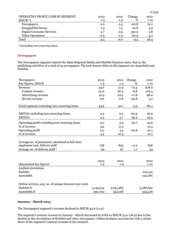| OPERATING PROFIT/LOSS BY SEGMENT<br>$MEUR^*$ | 2013<br>$1 - 3$ | 2012<br>1-3 | Change<br>% | 2012<br>$1 - 12$ |
|----------------------------------------------|-----------------|-------------|-------------|------------------|
| Newspapers                                   | 2.0             | 5.3         | $-62.8$     | 22.1             |
| Kauppalehti Group                            | 1.3             | 1.5         | $-10.8$     | 5.5              |
| Digital Consumer Services                    | 2.7             | 0.5         | 391.9       | 3.8              |
| <b>Other Operations</b>                      | $-0.5$          | $-1.3$      | 60.9        | $-4.7$           |
| Total                                        | 5.4             | 6.0         | $-9.5$      | 26.5             |

*\*) including non-recurring items*

#### **Newspapers**

The Newspapers segment reports the Alma Regional Media and Iltalehti business units, that is, the publishing activities of a total of 35 newspapers. The best-known titles in this segment are Aamulehti and Iltalehti.

| Newspapers                                            | 2013      | 2012      | Change  | 2012      |
|-------------------------------------------------------|-----------|-----------|---------|-----------|
| Key figures, MEUR                                     | $1 - 3$   | $1 - 3$   | %       | $1 - 12$  |
| Revenue                                               | 45.6      | 51.9      | $-12.3$ | 206.6     |
| Content revenue                                       | 25.0      | 26.9      | $-6.8$  | 105.3     |
| Advertising revenue                                   | 19.9      | 24.2      | $-17.8$ | 98.0      |
| Service revenue                                       | 0.6       | 0.8       | $-30.8$ | 3.2       |
| Total expenses excluding non-recurring items          | 43.6      | 46.1      | $-5.5$  | 181.1     |
| EBITDA excluding non-recurring items                  | 2.3       | 6.2       | $-62.9$ | 26.9      |
| <b>EBITDA</b>                                         | 2.3       | 5.7       | $-59.9$ | 23.2      |
| Operating profit excluding non-recurring items        | 2.0       | 5.9       | $-65.7$ | 25.6      |
| % of revenue                                          | 4.4       | 11.3      |         | 12.4      |
| Operating profit                                      | 2.0       | 5.3       | $-62.8$ | 22.1      |
| % of revenue                                          | 4.4       | 10.3      |         | 10.7      |
|                                                       |           |           |         |           |
| Average no. of personnel, calculated as full-time     |           |           |         |           |
| employees excl. delivery staff                        | 758       | 853       | $-11.2$ | 838       |
| Average no. of delivery staff*                        | 99        | 97        | 1.7     | 33        |
|                                                       |           |           |         |           |
|                                                       | 2013      | 2012      |         | 2012      |
| Operational key figures                               | $1 - 3$   | $1 - 3$   |         | $1 - 12$  |
| Audited circulation                                   |           |           |         |           |
| Iltalehti                                             |           |           |         | 102,124   |
| Aamulehti                                             |           |           |         | 130,081   |
| Online services, avg. no. of unique browsers per week |           |           |         |           |
| Iltalehti.fi                                          | 3,149,414 | 3,631,483 |         | 3,280,652 |
| Aamulehti.fi                                          | 390,702   | 352,168   |         | 355,526   |
|                                                       |           |           |         |           |

# **January - March 2013**

The Newspapers segment's revenue declined to MEUR 45.6 (51.9).

The segment's content revenue in January - March decreased by 6.8% to MEUR 25.0 (26.9) due to the decline in the circulations of Iltalehti and other newspapers. Online business accounts for only a minor share of the segment's content revenue at the moment.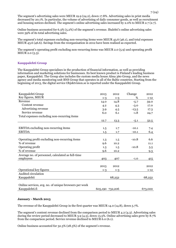The segment's advertising sales were MEUR 19.9 (24.2), down 17.8%. Advertising sales in print media decreased by 20.1%. In particular, the volume of advertising of daily consumer goods, as well as recruitment and housing notices declined. The segment's online advertising sales increased by 2.0% to MEUR 2.7 (2.7).

Online business accounted for 6.3% (5.2%) of the segment's revenue. Iltalehti's online advertising sales were 59% of its total advertising sales.

The segment's total expenses excluding non-recurring items were MEUR 43.6 (46.1), and total expenses MEUR 43.6 (46.6). Savings from the reorganisation in 2012 have been realised as expected.

The segment's operating profit excluding non-recurring items was MEUR 2.0 (5.9) and operating profit MEUR 2.0 (5.3).

# **Kauppalehti Group**

The Kauppalehti Group specialises in the production of financial information, as well as providing information and marketing solutions for businesses. Its best known product is Finland's leading business paper, Kauppalehti. The Group also includes the custom media house Alma 360 Group, and the news agency and media monitoring unit BNS Group that operates in all of the Baltic countries. Starting from the beginning of 2013, the digital service Objektvision.se is reported under the Kauppalehti Group.

| Kauppalehti Group                                     | 2013            | 2012    | Change  | 2012     |
|-------------------------------------------------------|-----------------|---------|---------|----------|
| Key figures, MEUR                                     | $1 - 3$         | $1 - 3$ | %       | $1 - 12$ |
| Revenue                                               | 14.0            | 14.8    | $-5.7$  | 59.0     |
| Content revenue                                       | 4.2             | 4.3     | $-3.0$  | 17.0     |
| Advertising revenue                                   | 3.9             | 4.5     | $-13.5$ | 17.3     |
| Service revenue                                       | 6.0             | 6.1     | $-1.8$  | 24.7     |
| Total expenses excluding non-recurring items          |                 |         |         |          |
|                                                       | 12.7            | 13.3    | $-5.1$  | 52.5     |
|                                                       |                 |         |         |          |
| EBITDA excluding non-recurring items                  | 1.5             | 1.7     | $-10.1$ | 7.4      |
| <b>EBITDA</b>                                         | 1.5             | 1.7     | $-10.1$ | 6.4      |
|                                                       |                 |         |         |          |
| Operating profit excluding non-recurring items        | 1.3             | 1.5     | $-10.8$ | 6.6      |
| % of revenue                                          | 9.6             | 10.2    |         | 11.1     |
| Operating profit                                      | 1.3             | 1.5     | $-10.8$ | 5.5      |
| % of revenue                                          | 9.6             | 10.2    |         | 9.3      |
| Average no. of personnel, calculated as full-time     |                 |         |         |          |
| employees                                             | 403             | 407     | $-1.0$  | 415      |
|                                                       |                 |         |         |          |
|                                                       | 2013            | 2012    |         | 2012     |
| Operational key figures                               | $1 - 3$         | $1 - 3$ |         | $1 - 12$ |
| Audited circulation                                   |                 |         |         |          |
| Kauppalehti                                           |                 | 68,252  |         | 68,252   |
|                                                       |                 |         |         |          |
| Online services, avg. no. of unique browsers per week |                 |         |         |          |
| Kauppalehti.fi                                        | 605,190 732,206 |         |         | 673,000  |

# **January - March 2013**

The revenue of the Kauppalehti Group in the first quarter was MEUR 14.0 (14.8), down 5.7%.

The segment's content revenue declined from the comparison period to MEUR 4.2 (4.3). Advertising sales during the review period decreased to MEUR 3.9 (4.5), down 13.5%. Online advertising sales grew by 8.7% from the comparison period. Service revenue declined to MEUR 6.0 (6.1).

Online business accounted for 32.3% (28.3%) of the segment's revenue.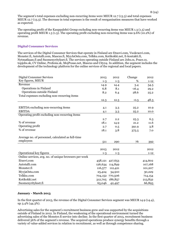The segment's total expenses excluding non-recurring items were MEUR 12.7 (13.3) and total expenses MEUR 12.7 (13.3). The decrease in total expenses is the result of reorganisation measures that have worked as expected.

The operating profit of the Kauppalehti Group excluding non-recurring items was MEUR 1.3 (1.5) and operating profit MEUR 1.3 (1.5). The operating profit excluding non-recurring items was 9.6% (10.2%) of revenue.

# **Digital Consumer Services**

The services of the Digital Consumer Services that operate in Finland are Etuovi.com, Vuokraovi.com, Monster.fi, Autotalli.com, Mascus.fi, MyyJaOsta.com, Telkku.com, Kotikokki.net, E-kontakti.fi, Nytmatkaan.fi and Suomenyritykset.fi. The services operating outside Finland are Jobs.cz, Prace.cz, topjobs.sk, CV Online, Profesia.sk, MojPosao.net, Mascus and City24. In addition, the segment includes the development of the technology platform for the online services of the regional and local papers.

| <b>Digital Consumer Services</b>                      | 2013    | 2012            | Change  | 2012     |
|-------------------------------------------------------|---------|-----------------|---------|----------|
| Key figures, MEUR                                     | $1 - 3$ | $1 - 3$         | %       | $1 - 12$ |
| Revenue                                               | 14.9    | 14.4            | 3.4     | 54.5     |
| Operations in Finland                                 | 6.8     | 8.1             | $-16.4$ | 29.2     |
| Operations outside Finland                            | 8.2     | 6.4             | 28.6    | 25.2     |
| Total expenses excluding non-recurring items          |         |                 |         |          |
|                                                       | 12.3    | 12.3            | $-0.5$  | 48.3     |
|                                                       |         |                 |         |          |
| <b>EBITDA</b> excluding non-recurring items           | 4.1     | 3.3             | 25.2    | 10.9     |
| <b>EBITDA</b>                                         | 4.1     | 3.3             | 25.2    | 10.0     |
| Operating profit excluding non-recurring items        |         |                 |         |          |
|                                                       | 2.7     | 2.2             | 25.3    | 6.3      |
| % of revenue                                          | 18.1    | 14.9            | 21.2    | 11.6     |
| Operating profit                                      | 2.7     | 0.5             | 391.9   | 3.8      |
| % of revenue                                          | 18.1    | 3.8             | 375.5   | 7.0      |
|                                                       |         |                 |         |          |
| Average no. of personnel, calculated as full-time     |         |                 |         |          |
| employees                                             | 511     | 290             | 76      | 392      |
|                                                       |         |                 |         |          |
|                                                       | 2013    | 2012            |         | 2012     |
| Operational key figures                               | $1 - 3$ | $1 - 3$         |         | $1 - 12$ |
| Online services, avg. no. of unique browsers per week |         |                 |         |          |
| Etuovi.com                                            |         | 458,121 427,653 |         | 414,602  |
| Autotalli.com                                         | 126,634 | 114,849         |         | 107,168  |
| Monster.fi                                            | 116,577 | 112,421         |         | 101,207  |
| MyyjaOsta.com                                         | 25,424  | 34,910          |         | 30,229   |
| Telkku.com                                            |         | 704,152 770,506 |         | 714,154  |
| Kotikokki.net                                         |         | 312,705 186,857 |         | 213,832  |
| Suomenyritykset.fi                                    | 65,046  | 42,497          |         | 66,893   |

#### **January - March 2013**

In the first quarter of 2013, the revenue of the Digital Consumer Services segment was MEUR 14.9 (14.4), up 3.4% (44.3%).

Advertising sales for the segment's recruitment business grew and was supported by the acquisitions outside of Finland in 2012. In Finland, the weakening of the operational environment turned the advertising sales of the Monster.fi service into decline. In the first quarter of 2013, recruitment business delivered 56% of the segment's revenue. The acquired operations produce synergy benefits through a variety of value-added services in relation to recruitment, as well as through competence sharing.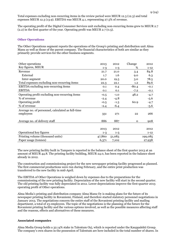Total expenses excluding non-recurring items in the review period were MEUR 12.3 (12.3) and total expenses MEUR 12.3 (13.9). EBITDA was MEUR 4.1, representing 27.5% of revenue.

The operating profit of the Digital Consumer Services unit excluding non-recurring items grew to MEUR 2.7 (2.2) in the first quarter of the year. Operating profit was MEUR 2.7 (0.5).

#### **Other Operations**

The Other Operations segment reports the operations of the Group's printing and distribution unit Alma Manu as well as those of the parent company. The financial characteristics of both are similar as they primarily provide services for the other business segments.

| Other operations                                  | 2013    | 2012    | Change       | 2012     |
|---------------------------------------------------|---------|---------|--------------|----------|
| Key figures, MEUR                                 | $1 - 3$ | $1 - 3$ | %            | $1 - 12$ |
| Revenue                                           | 21.7    | 21.0    | 3.4          | 84.8     |
| External                                          | 1.7     | 1.6     | 9.0          | 6.3      |
| Inter-segment                                     | 20.0    | 19.5    | 3.0          | 78.5     |
| Total expenses excluding non-recurring items      | 22.3    | 22.1    | 1.2          | 89.6     |
| <b>EBITDA</b> excluding non-recurring items       | 0.1     | 0.4     | $-80.4$      | $-0.1$   |
| <b>EBITDA</b>                                     | 0.1     | 0.1     | $-7.2$       | $-0.1$   |
| Operating profit excluding non-recurring items    | $-0.5$  | $-1.0$  | 48.2         | $-4.7$   |
| % of revenue                                      | $-2.4$  | $-4.8$  |              | $-5.6$   |
| Operating profit                                  | $-0.5$  | $-1.3$  | 60.9         | $-4.7$   |
| % of revenue                                      | $-2.4$  | $-6.4$  |              | $-5.6$   |
| Average no. of personnel, calculated as full-time |         |         |              |          |
| employees                                         | 331     | 271     | 22           | 266      |
| Average no. of delivery staff                     | 886     | 887     | $\mathbf{0}$ | 908      |
|                                                   |         |         |              |          |
|                                                   | 2013    | 2012    |              | 2012     |
| Operational key figures                           | $1 - 3$ | $1 - 3$ |              | $1 - 12$ |
| Printing volume (thousand units)                  | 47,860  | 51,083  |              | 199,085  |
| Paper usage (tonnes)                              | 6,371   | 7,102   |              | 27,938   |

The new printing facility built in Tampere is reported in the balance sheet of the first quarter 2013 at an amount of MEUR 44.8. The printing facility building, MEUR 24.0, has been reported in the balance sheet already in 2012.

The construction and commissioning project for the new newspaper printing facility progressed as planned. The first commercial productions were run during February, and the entire print production was transferred to the new facility in mid-April.

The EBITDA of Other Operations is weighed down by expenses due to the preparations for the commissioning of the new printing facility. Depreciation of the new facility will start in the second quarter. The old printing facility was fully depreciated in 2012. Lower depreciations improve the first-quarter 2013 operating profit of Other operations.

Alma Media's printing and distribution company Alma Manu Oy is making plans for the future of its newspaper printing facility in Rovaniemi, Finland, and therefore started statutory personnel negotiations in January 2013. The negotiations concern the entire staff of the Rovaniemi printing facility and mailing department, a total of 23 employees. The topic of the negotiations is the planning of the future for the Rovaniemi printing facility and the various options involved, as well as the possible measures affecting staff and the reasons, effects and alternatives of these measures.

#### **Associated companies**

Alma Media Group holds a 32.14% stake in Talentum Oyj, which is reported under the Kauppalehti Group. The company's own shares in the possession of Talentum are here included in the total number of shares. In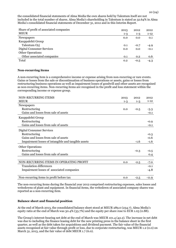the consolidated financial statements of Alma Media the own shares held by Talentum itself are not included in the total number of shares. Alma Media's shareholding in Talentum is stated as 32.64% in Alma Media's consolidated financial statements of December 31, 2012 and in this Interim Report.

| Share of profit of associated companies | 2013    | 2012    | 2012     |
|-----------------------------------------|---------|---------|----------|
| <b>MEUR</b>                             | $1 - 3$ | $1 - 3$ | $1 - 12$ |
| Newspapers                              | 0.0     | 0.0     | 0.1      |
| Kauppalehti Group                       |         |         |          |
| Talentum Oyj                            | 0.1     | $-0.7$  | $-4.9$   |
| Digital Consumer Services               | 0.0     | 0.0     | $-0.1$   |
| <b>Other Operations</b>                 |         |         |          |
| Other associated companies              | 0.1     | 0.2     | 0.6      |
| Total                                   | 0.2     | $-0.5$  | $-4.3$   |

#### **Non-recurring items**

A non-recurring item is a comprehensive income or expense arising from non-recurring or rare events. Gains or losses from the sale or discontinuation of business operations or assets, gains or losses from restructuring business operations as well as impairment losses of goodwill and other assets are recognised as non-recurring items. Non-recurring items are recognised in the profit and loss statement within the corresponding income or expense group.

| <b>NON-RECURRING ITEMS</b>                          | 2013    | 2012    | 2012     |
|-----------------------------------------------------|---------|---------|----------|
| <b>MEUR</b>                                         | $1 - 3$ | $1 - 3$ | $1 - 12$ |
| Newspapers                                          |         |         |          |
| Restructuring                                       | 0.0     | $-0.5$  | $-3.3$   |
| Gains and losses from sale of assets                |         |         | $-0.1$   |
| Kauppalehti Group                                   |         |         |          |
| Restructuring                                       |         |         | $-0.9$   |
| Gains and losses from sale of assets                |         |         | $-0.1$   |
| <b>Digital Consumer Services</b>                    |         |         |          |
| Restructuring                                       |         |         | $-0.3$   |
| Gains and losses from sale of assets                |         |         | $-0.6$   |
| Impairment losses of intangible and tangible assets |         | $-1.6$  | $-1.6$   |
| <b>Other Operations</b>                             |         |         |          |
| Restructuring                                       |         | $-0.3$  | $-0.5$   |
| Gains and losses from sale of assets                |         |         | 0.4      |
|                                                     |         |         |          |
| NON-RECURRING ITEMS IN OPERATING PROFIT             | 0.0     | $-2.5$  | $-7.0$   |
| <b>Translation differences</b>                      |         |         | $-0.1$   |
| Impairment losses of associated companies           |         |         | $-4.8$   |
| Non-recurring items in profit before tax            | 0.0     | $-2.5$  | $-11.9$  |

The non-recurring items during the financial year 2012 comprised restructuring expenses, sales losses and writedowns of plant and equipment. In financial items, the writedown of associated company shares was reported as a non-recurring item.

# **Balance sheet and financial position**

At the end of March 2013, the consolidated balance sheet stood at MEUR 289.0 (234.7). Alma Media's equity ratio at the end of March was 30.4% (33.7%) and the equity per share rose to EUR 1.03 (0.88).

The Group's interest-bearing net debt at the end of March was MEUR 101.4 (42.2). The increase in net debt was due to including the finance leasing debt for the new printing press in the balance sheet in the first quarter, as well as the debt taken for acquisitions and dividend payment. The fair value of the financial assets recognised at fair value through profit or loss, due to corporate restructuring, was MEUR 1.2 (0.0) on March 31, 2013, and the fair value of debt MEUR 1.7 (6.0).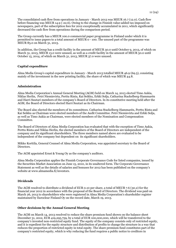The consolidated cash flow from operations in January - March 2013 was MEUR 16.7 (12.0). Cash flow before financing was MEUR 14.9 (-22.6). Owing to the change in Finnish value-added tax imposed on newspapers, part of the subscription fees for 2012 exceptionally accumulated in 2011, which significantly decreased the cash flow from operations during the comparison period.

The Group currently has a MEUR 100.0 commercial paper programme in Finland under which it is permitted to issue papers to a total amount of MEUR 0 - 100. The unused part of the programme was MEUR 85.0 on March 31, 2013.

In addition, the Group has a credit facility in the amount of MEUR 30.0 until October 9, 2013, of which on March 31, 2013, MEUR 13.0 were unused, as well as a credit facility in the amount of MEUR 50.0 until October 15, 2014, of which on March 31, 2013, MEUR 37.0 were unused.

# **Capital expenditure**

Alma Media Group's capital expenditure in January - March 2013 totalled MEUR 46.9 (69.5), consisting mainly of the investment in the new printing facility, the share of which was MEUR 44.8.

#### **Administration**

Alma Media Corporation's Annual General Meeting (AGM) held on March 14, 2013 elected Timo Aukia, Niklas Herlin, Petri Niemisvirta, Perttu Rinta, Kai Seikku, Erkki Solja, Catharina Stackelberg-Hammarén and Harri Suutari members of the company's Board of Directors. In its constitutive meeting held after the AGM, the Board of Directors elected Harri Suutari as its Chairman.

The Board also elected the members of its committees. Catharina Stackelberg-Hammarén, Perttu Rinta and Kai Seikku as Chairman were elected members of the Audit Committee. Petri Niemisvirta and Erkki Solja, as well as Timo Aukia as Chairman, were elected members of the Nomination and Compensation Committee.

The Board of Directors of Alma Media Corporation has evaluated that with the exception of Timo Aukia, Perttu Rinta and Niklas Herlin, the elected members of the Board of Directors are independent of the company and its significant shareholders. The three members named above are evaluated to be independent of the company but dependent on its significant shareholders.

Mikko Korttila, General Counsel of Alma Media Corporation, was appointed secretary to the Board of Directors.

The AGM appointed Ernst & Young Oy as the company's auditors.

Alma Media Corporation applies the Finnish Corporate Governance Code for listed companies, issued by the Securities Market Association on June 15, 2010, in its unaltered form. The Corporate Governance Statement as well as the details of salaries and bonuses for 2012 has been published on the company's website at www.almamedia.fi/investors.

#### **Dividends**

The AGM resolved to distribute a dividend of EUR 0.10 per share, a total of MEUR 7.6 (30.2) for the financial year 2012 in accordance with the proposal of the Board of Directors. The dividend was paid on March 26, 2013 to shareholders who were registered in Alma Media Corporation's shareholder register maintained by Euroclear Finland Oy on the record date, March 19, 2013.

#### **Other decisions by the Annual General Meeting**

The AGM on March 14, 2013 resolved to reduce the share premium fund shown on the balance sheet December 31, 2012, EUR  $419,295,759$ , by a total of EUR 100,000,000, which will be transferred to the company's invested non-restricted equity fund. The equity of the company consists only of restricted equity, and it is expedient for the equity structure and distribution of profits to change the structure in a way that reduces the proportion of restricted equity in total equity. The share premium fund constitutes part of the company's restricted equity, which is why reducing the fund requires a public notice to creditors in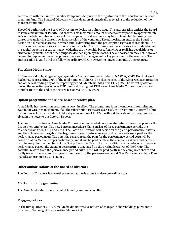accordance with the Limited Liability Companies Act prior to the registration of the reduction of the share premium fund. The Board of Directors will decide upon all practicalities relating to the reduction of the share premium fund.

The AGM authorised the Board of Directors to decide on a share issue. The authorisation entitles the Board to issue a maximum of 15,000,000 shares. This maximum amount of shares corresponds to approximately 20% of the total number of shares of the company. The share issue may be implemented by issuing new shares or transferring shares now in possession of the company. The authorisation entitles the Board to decide on a directed share issue, which entails deviating from the pre-emption rights of shareholders. The Board can use the authorisation in one or more parts. The Board may use the authorisation for developing the capital structure of the company, widening the ownership base, financing or realising acquisitions or other arrangements, or for other purposes decided upon by the Board. The authorisation may not, however, be used to implement incentive programmes for the management or key personnel of the company. The authorisation is valid until the following ordinary AGM, however no longer than until June 30, 2014.

#### **The Alma Media share**

In January - March, altogether 960,905 Alma Media shares were traded at NASDAQ OMX Helsinki Stock Exchange, representing 1.3% of the total number of shares. The closing price of the Alma Media share at the end of the last trading day of the reporting period, March 28, 2013, was EUR 3.70. The lowest quotation during the reporting period was EUR 3.64 and the highest EUR 5.00. Alma Media Corporation's market capitalisation at the end of the review period was MEUR 279.3.

#### **Option programme and share-based incentive plan**

Alma Media has the option programme 2009 in effect. The programme is an incentive and commitment system for Group management. If all the subscription rights are exercised, the programme 2009 will dilute the holdings of the earlier shareholders by a maximum of 2.22%. Further details about the programmes are given in the notes to this Interim Report.

The Board of Directors of Alma Media Corporation has decided on a new share-based incentive plan for the Group's key employees. The new Performance Share Plan consists of three performance periods, the calendar years 2012, 2013 and 2014. The Board of Directors will decide on the plan's performance criteria and the achievement targets at the beginning of each performance period. No rewards were paid for the performance period 2012. The potential reward from the plan for the performance period 2013 will be based on Alma Media Group's profitability, and it will be paid partly in the company's shares and partly in cash in 2014. For the members of the Group Executive Team, the plan additionally includes one three-year performance period, the calendar years 2012–2014, based on the profitable growth of the Group. The potential reward from the performance period 2012–2014 will be paid partly in the company's shares and partly in cash one year and two years from the end of the performance period. The Performance Share Plan includes approximately 20 persons.

#### **Other authorisations of the Board of Directors**

The Board of Directors has no other current authorisations to raise convertible loans.

#### **Market liquidity guarantee**

The Alma Media share has no market liquidity guarantee in effect.

#### **Flagging notices**

In the first quarter of 2013, Alma Media did not receive notices of changes in shareholdings pursuant to Chapter 9, Section 5 of the Securities Markets Act.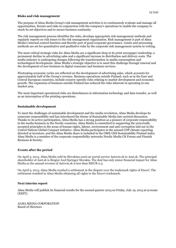#### **Risks and risk management**

The purpose of Alma Media Group's risk management activities is to continuously evaluate and manage all opportunities, threats and risks in conjunction with the company's operations to enable the company to reach its set objectives and to secure business continuity.

The risk management process identifies the risks, develops appropriate risk management methods and regularly reports on risk issues to the risk management organisation. Risk management is part of Alma Media's internal control function and thereby part of good corporate governance. Limits and processing methods are set for quantitative and qualitative risks by the corporate risk management system in writing.

The most critical strategic risks for Alma Media are a significant drop in its print newspaper readership, a permanent decline in advertising sales and a significant increase in distribution and delivery costs. The media industry is undergoing changes following the transformation in media consumption and technological development. Alma Media's strategic objective is to meet this challenge through renewal and the development of new business in digital consumer and business services.

Fluctuating economic cycles are reflected on the development of advertising sales, which accounts for approximately half of the Group's revenue. Business operations outside Finland, such as in the East and Central European countries, include country-specific risks relating to market development and economic growth. The expansion of business outside Finland has reduced the risks inherent in operating in one market area.

The most important operational risks are disturbances in information technology and data transfer, as well as an interruption of the printing operations.

# **Sustainable development**

To meet the challenges of sustainable development and the media revolution, Alma Media develops its corporate responsibility and has introduced the theme of Sustainable Media into societal discussion. Thanks to its active participation, Alma Media has a strong position as a pioneer of corporate responsibility in the media business in the Nordic countries. Alma Media is committed to supporting the universally accepted principles in the areas of human rights, labour, environment and anti-corruption laid out in the United Nations Global Compact initiative. Alma Media participates in the annual CDP climate reporting directed at investors, and the Alma Media share is included in the OMX GES Sustainability Finland index. Alma Media is a member of the corporate responsibility networks Nordic Media CR Forum and Finnish Business & Society.

# **Events after the period**

On April 3, 2013, Alma Media sold its Slovakian used car portal service Autovia.sk to Azet.sk. The principal shareholder of Azet.sk is Ringier Axel Springer Slovakia. The deal has only minor financial impact for Alma Media as the annual revenue of Autovia.sk is less than MEUR 0.5.

On April 9, 2013, Alma Media reached a settlement in the dispute over the trademark rights of Etuovi. The settlement resulted in Alma Media obtaining all rights to the Etuovi trademark.

# **Next interim report**

Alma Media will publish its financial results for the second quarter 2013 on Friday, July 19, 2013 at 9:00am (EEST).

ALMA MEDIA CORPORATION Board of Directors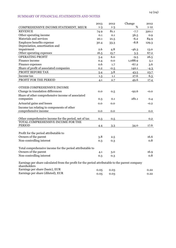# SUMMARY OF FINANCIAL STATEMENTS AND NOTES

|                                                                                                                 | 2013    | 2012    | Change  | 2012     |
|-----------------------------------------------------------------------------------------------------------------|---------|---------|---------|----------|
| COMPREHENSIVE INCOME STATEMENT, MEUR                                                                            | $1 - 3$ | $1 - 3$ | %       | $1 - 12$ |
| <b>REVENUE</b>                                                                                                  | 74.9    | 81.1    | $-7.7$  | 320.1    |
| Other operating income                                                                                          | 0.1     | 0.1     | 56.5    | 0.9      |
| Materials and services                                                                                          | 20.1    | 21.5    | $-6.2$  | 84.9     |
| Employee benefits expense                                                                                       | 30.4    | 33.3    | $-8.8$  | 129.3    |
| Depreciation, amortisation and                                                                                  |         |         |         |          |
| impairment                                                                                                      | 2.6     | 4.8     | $-46.3$ | 13.0     |
| Other operating expenses                                                                                        | 16.5    | 15.7    | 5.3     | 67.2     |
| <b>OPERATING PROFIT</b>                                                                                         | 5.4     | 6.0     | $-9.5$  | 26.5     |
| Finance income                                                                                                  | 0.4     | 0.0     | 1,088.9 | 5.1      |
| Finance expenses                                                                                                | 0.6     | 1.7     | $-67.2$ | 3.6      |
| Share of profit of associated companies                                                                         | 0.2     | $-0.5$  | 140.1   | $-4.3$   |
| PROFIT BEFORE TAX                                                                                               | 5.4     | 3.8     | 43.5    | 23.7     |
| Income tax                                                                                                      | 1.3     | 1.1     | 27.6    | 6.3      |
| PROFIT FOR THE PERIOD                                                                                           | 4.1     | 2.7     | 49.6    | 17.4     |
|                                                                                                                 |         |         |         |          |
| OTHER COMPREHENSIVE INCOME                                                                                      |         |         |         |          |
| Change in translation differences                                                                               | 0.0     | 0.5     | $-92.6$ | $-0.0$   |
| Share of other comprehensive income of associated                                                               |         |         |         |          |
| companies                                                                                                       | 0.3     | 0.1     | 281.1   | 0.4      |
|                                                                                                                 |         |         |         |          |
| Actuarial gains and losses                                                                                      | 0.0     | 0.0     |         | $-0.2$   |
| Income tax relating to components of other                                                                      |         |         |         |          |
| comprehensive income                                                                                            | 0.0     | 0.0     |         | 0.0      |
|                                                                                                                 |         |         |         |          |
| Other comprehensive income for the period, net of tax<br>TOTAL COMPREHENSIVE INCOME FOR THE                     | 0.3     | 0.5     |         | 0.2      |
| <b>PERIOD</b>                                                                                                   |         |         |         | 17.6     |
|                                                                                                                 | 4.4     | 3.3     | 34.0    |          |
|                                                                                                                 |         |         |         |          |
| Profit for the period attributable to                                                                           |         |         |         |          |
| Owners of the parent                                                                                            | 3.8     | 2.5     |         | 16.6     |
| Non-controlling interest                                                                                        | 0.3     | 0.3     |         | 0.8      |
|                                                                                                                 |         |         |         |          |
| Total comprehensive income for the period attributable to                                                       |         |         |         |          |
| Owners of the parent                                                                                            | 4.1     | 3.0     |         | 16.9     |
| Non-controlling interest                                                                                        | 0.3     | 0.3     |         | 0.8      |
| Earnings per share calculated from the profit for the period attributable to the parent company<br>shareholders |         |         |         |          |
| Earnings per share (basic), EUR                                                                                 | 0.05    | 0.03    |         | 0.22     |
| Earnings per share (diluted), EUR                                                                               | 0.05    | 0.03    |         | 0.22     |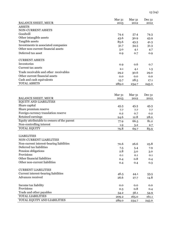|                                             | Mar <sub>31</sub> | Mar <sub>31</sub> | Dec 31    |
|---------------------------------------------|-------------------|-------------------|-----------|
| <b>BALANCE SHEET, MEUR</b>                  | 2013              | 2012              | 2012      |
| <b>ASSETS</b>                               |                   |                   |           |
| NON-CURRENT ASSETS                          |                   |                   |           |
| Goodwill                                    | 74.4              | 57.4              | 74.3      |
| Other intangible assets                     | 43.6              | 30.9              | 43.9      |
| Tangible assets                             | 85.6              | 43.3              | 41.3      |
| Investments in associated companies         | 31.7              | 34.5              | 31.3      |
| Other non-current financial assets          | 5.0               | 4.1               | 4.7       |
| Deferred tax asset                          | 0.9               | 0.7               | 0.9       |
| <b>CURRENT ASSETS</b>                       |                   |                   |           |
| Inventories                                 | 0.9               | 0.6               | 0.7       |
| Current tax assets                          | 2.1               | 4.1               | 1.3       |
| Trade receivable and other receivables      | 29.2              | 30.6              | 29.0      |
| Other current financial assets              | 0.0               | 0.0               | 0.0       |
| Cash and cash equivalents                   | 15.7              | 28.5              | 17.1      |
| <b>TOTAL ASSETS</b>                         | 289.0             | 234.7             | 245.0     |
|                                             |                   |                   |           |
|                                             | Mar <sub>31</sub> | Mar <sub>31</sub> | $Dec\,31$ |
| <b>BALANCE SHEET, MEUR</b>                  | 2013              | 2012              | 2012      |
| <b>EQUITY AND LIABILITIES</b>               |                   |                   |           |
| Share capital                               | 45.3              | 45.3              | 45.3      |
| Share premium reserve                       | 7.7               | 7.7               | 7.7       |
| Foreign currency translation reserve        | 0.2               | 0.7               | 0.2       |
| Retained earnings                           | 24.6              | 12.8              | 28.0      |
| Equity attributable to owners of the parent | 77.9              | 66.5              | 81.2      |
| Non-controlling interest                    | 1.9               | 3.2               | 2.7       |
| <b>TOTAL EQUITY</b>                         | 79.8              | 69.7              | 83.9      |
|                                             |                   |                   |           |
| <b>LIABILITIES</b>                          |                   |                   |           |
| NON-CURRENT LIABILITIES                     |                   |                   |           |
| Non-current interest-bearing liabilities    | 70.6              | 26.6              | 25.8      |
| Deferred tax liabilities                    | 7.5               | 5.4               | 7.9       |
| Pension obligations                         | 2.8               | 3.0               | 3.0       |
| Provisions                                  | 0.1               | 0.1               | 0.1       |
| Other financial liabilities                 | 0.4               | 0.8               | 0.4       |
| Other non-current liabilities               | 0.4               | 0.4               | 0.3       |
| <b>CURRENT LIABILITIES</b>                  |                   |                   |           |
| Current interest-bearing liabilities        |                   |                   |           |
| Advances received                           | 46.5<br>26.6      | 44.1              | 53.5      |
|                                             |                   | 27.7              | 14.8      |
| Income tax liability                        | 0.0               | 0.0               | 0.0       |
| Provisions                                  | 0.3               | 0.8               | 0.4       |
| Trade and other payables                    | 54.2              | 56.1              | 54.9      |
| <b>TOTAL LIABILITIES</b>                    | 209.2             | 165.0             | 161.1     |
| TOTAL EQUITY AND LIABILITIES                | 289.0             | 234.7             | 245.0     |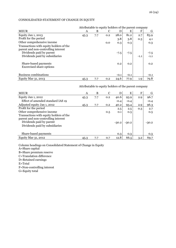# CONSOLIDATED STATEMENT OF CHANGE IN EQUITY

|                                         |      | Attributable to equity holders of the parent company |     |        |        |        |        |
|-----------------------------------------|------|------------------------------------------------------|-----|--------|--------|--------|--------|
| <b>MEUR</b>                             | A    | B                                                    | C   | D      | E      | F      | G      |
| Equity Jan 1, 2013                      | 45.3 | 7.7                                                  | 0.2 | 28.0   | 81.2   | 2.7    | 83.9   |
| Profit for the period                   |      |                                                      |     | 3.8    | 3.8    | 0.3    | 4.1    |
| Other comprehensive income              |      |                                                      | 0.0 | 0.3    | 0.3    |        | 0.3    |
| Transactions with equity holders of the |      |                                                      |     |        |        |        |        |
| parent and non-controlling interest     |      |                                                      |     |        |        |        |        |
| Dividends paid by parent                |      |                                                      |     | $-7.5$ | $-7.5$ |        | $-7.5$ |
| Dividends paid by subsidiaries          |      |                                                      |     |        |        | $-1.1$ | $-1.1$ |
|                                         |      |                                                      |     |        |        |        |        |
| Share-based payments                    |      |                                                      |     | 0.2    | 0.2    |        | 0.2    |
| <b>Excercised share options</b>         |      |                                                      |     |        |        |        |        |
|                                         |      |                                                      |     |        |        |        |        |
| Business combinations                   |      |                                                      |     | $-0.1$ | $-0.1$ |        | $-0.1$ |
| Equity Mar 31, 2013                     | 45.3 | 7.7                                                  | 0.2 | 24.6   | 77.9   | 1.9    | 79.8   |

Attributable to equity holders of the parent company

| <b>MEUR</b>                                                                                                                                  | A    | B   | C   | D       | E       | F   | G       |
|----------------------------------------------------------------------------------------------------------------------------------------------|------|-----|-----|---------|---------|-----|---------|
| Equity Jan 1, 2012                                                                                                                           | 45.3 | 7.7 | 0.2 | 40.6    | 93.9    | 2.9 | 96.7    |
| Effect of amended standard IAS 19                                                                                                            |      |     |     | $-0.4$  | $-0.4$  |     | $-0.4$  |
| Adjusted equity Jan 1, 2012                                                                                                                  | 45.3 | 7.7 | 0.2 | 40.2    | 93.4    | 2.9 | 96.3    |
| Profit for the period                                                                                                                        |      |     |     | 2.5     | 2.5     | 0.3 | 2.7     |
| Other comprehensive income                                                                                                                   |      |     | 0.5 | 0.1     | 0.5     |     | 0.5     |
| Transactions with equity holders of the<br>parent and non-controlling interest<br>Dividends paid by parent<br>Dividends paid by subsidiaries |      |     |     | $-30.2$ | $-30.2$ |     | $-30.2$ |
| Share-based payments                                                                                                                         |      |     |     | 0.3     | 0.3     |     | 0.3     |
| Equity Mar 31, 2012                                                                                                                          | 45.3 | 7.7 | 0.7 | 12.8    | 66.5    | 3.2 | 69.7    |

Column headings on Consolidated Statement of Change in Equity A=Share capital B=Share premium reserve C=Translation difference D=Retained earnings E=Total F=Non-controlling interest G=Equity total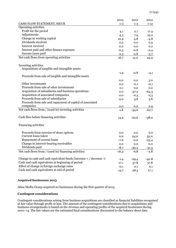|                                                                      | 2013    | 2012    | 2012     |
|----------------------------------------------------------------------|---------|---------|----------|
| CASH FLOW STATEMENT, MEUR                                            | $1 - 3$ | $1 - 3$ | $1 - 12$ |
| Operating activities                                                 |         |         |          |
| Profit for the period                                                | 4.1     | 2.7     | 17.4     |
| Adjustments                                                          | 4.3     | 7.9     | 19.2     |
| Change in working capital                                            | 10.9    | 4.8     | $-4.8$   |
| Dividends received                                                   | 0.2     | 0.0     | 0.9      |
| Interest received                                                    | 0.0     | 0.0     | 0.2      |
| Interest paid and other finance expenses                             | $-0.5$  | $-0.8$  | $-2.4$   |
| Income taxes paid                                                    | $-2.3$  | $-2.8$  | $-5.7$   |
| Net cash flows from operating activities                             | 16.7    | 12.0    | 24.9     |
|                                                                      |         |         |          |
| Investing activities                                                 |         |         |          |
| Acquisitions of tangible and intangible assets                       |         |         |          |
|                                                                      | $-1.9$  | $-0.8$  | -4.1     |
| Proceeds from sale of tangible and intangible assets                 |         |         |          |
|                                                                      | 0.0     | 0.0     | 3.0      |
| Other investments                                                    | 0.0     | $-0.1$  | $-0.1$   |
| Proceeds from sale of other investments                              | 0.1     | 0.0     | 0.2      |
| Acquisition of subsidiaries and business operations                  | 0.0     | $-37.2$ | $-64.3$  |
| Acquisition of associated companies                                  | 0.0     | $-0.3$  | $-2.3$   |
| Proceeds from sale of subsidiaries                                   | 0.0     | 3.8     | 3.8      |
| Proceeds from sale and repayment of capital of associated            |         |         |          |
| companies                                                            | 0.0     | 0.0     | 0.9      |
| Net cash flows from / (used in) investing activities                 | $-1.8$  | $-34.6$ | $-62.7$  |
|                                                                      |         |         |          |
| Cash flow before financing activities                                | 14.9    | $-22.6$ | $-38.0$  |
|                                                                      |         |         |          |
| Financing activities                                                 |         |         |          |
| Proceeds from exercise of share options                              | 0.0     | 0.0     | 0.0      |
| Current loans taken                                                  | 0.0     | 24.0    | 52.0     |
| Repayment of current loans                                           | $-7.6$  | $-0.6$  | $-23.4$  |
| Change in interest-bearing receivables                               | 0.0     | 0.0     | 0.0      |
| Dividends paid                                                       | $-8.7$  | $-30.2$ | $-31.5$  |
| Net cash flows from / (used in) financing activities                 | $-16.3$ | $-6.8$  | -2.8     |
|                                                                      |         |         |          |
| Change in cash and cash equivalent funds (increase $+ /$ decrease -) | $-1.4$  | $-29.4$ | $-40.8$  |
| Cash and cash equivalents at beginning of period                     | 17.1    | 57.8    | 57.8     |
| Effect of change in foreign exchange rates                           | $-0.1$  | 0.1     | 0.1      |
| Cash and cash equivalents at end of period                           | 15.7    | 28.5    | 17.1     |

# **Acquired businesses 2013**

Alma Media Group acquired no businesses during the first quarter of 2013.

## **Contingent considerations**

Contingent considerations arising from business acquisitions are classified as financial liabilities recognised at fair value through profit or loss. The amount of the contingent considerations due to acquisitions and business arrangements is based on the revenue and operating profits of the acquired businesses during 2010–14. The fair values are the estimated final considerations discounted to the balance sheet date.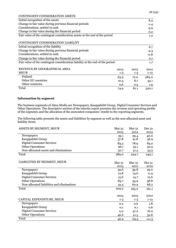| CONTINGENT CONSIDERATION ASSETS                                               |         |         |                  |
|-------------------------------------------------------------------------------|---------|---------|------------------|
| Initial recognition of the assets                                             |         |         | 8.4              |
| Change in fair value during previous financial periods                        |         |         | $-1.4$           |
| Considerations, settled in cash                                               |         |         | $-5.9$           |
| Change in fair value during the financial period                              |         |         | 0.2              |
| Fair value of the contingent consideration assets at the end of the period    |         |         | 1.2 <sub>1</sub> |
|                                                                               |         |         |                  |
| CONTINGENT CONSIDERATION LIABILITY                                            |         |         |                  |
| Initial recognition of the liability                                          |         |         | 6.7              |
| Change in fair value during previous financial periods                        |         |         | $-4.3$           |
| Considerations, settled in cash                                               |         |         | $-0.8$           |
| Change in fair value during the financial period                              |         |         | 0.1              |
| Fair value of the contingent consideration liability at the end of the period |         |         | 1.7              |
|                                                                               |         |         |                  |
| REVENUE BY GEOGRAPHICAL AREA                                                  | 2013    | 2012    | 2012             |
| <b>MEUR</b>                                                                   | $1 - 3$ | $1 - 3$ | $1 - 12$         |
| Finland                                                                       | 63.9    | 72.0    | 284.0            |
| Other EU countries                                                            | 10.4    | 8.7     | 34.1             |
| Other countries                                                               | 0.6     | 0.5     | 1.9              |
| Total                                                                         | 74.9    | 81.1    | 320.1            |

# **Information by segment**

The business segments of Alma Media are Newspapers, Kauppalehti Group, Digital Consumer Services and Other Operations. The descriptive section of the interim report presents the revenue and operating profits of the segments and the allocation of the associated companies' results to the reporting segments.

The following table presents the assets and liabilities by segment as well as the non-allocated asset and liability items.

| ASSETS BY SEGMENT, MEUR                    | Mar <sub>31</sub> | Mar 31            | Dec 31   |
|--------------------------------------------|-------------------|-------------------|----------|
|                                            | 2013              | 2012              | 2012     |
| Newspapers                                 | 39.1              | 39.4              | 40.0     |
| Kauppalehti Group                          | 37.8              | 41.8              | 36.9     |
| Digital Consumer Services                  | 83.3              | 78.9              | 84.2     |
| <b>Other Operations</b>                    | 96.1              | 33.1              | 50.5     |
| Non-allocated assets and eliminations      | 32.7              | 41.5              | 33.5     |
| Total                                      | 289.0             | 234.7             | 245.1    |
| LIABILITIES BY SEGMENT, MEUR               |                   |                   |          |
|                                            | Mar <sub>31</sub> | Mar <sub>31</sub> | Dec 31   |
|                                            | 2013              | 2012              | 2012     |
| Newspapers                                 | 39.6              | 39.8              | 29.0     |
| Kauppalehti Group                          | 12.8              | 13.6              | 11.9     |
| <b>Digital Consumer Services</b>           | 15.6              | 14.7              | 12.6     |
| <b>Other Operations</b>                    | 85.7              | 35.9              | 38.8     |
| Non-allocated liabilities and eliminations | 55.5              | 60.9              | 68.2     |
| Total                                      | 209.2             | 165.0             | 161.1    |
|                                            | 2013              | 2012              | 2012     |
| CAPITAL EXPENDITURE, MEUR                  | $1 - 3$           | $1-3$             | $1 - 12$ |
| Newspapers                                 | 0.2               | 0.6               | 1.8      |
| Kauppalehti Group                          | 0.1               | 0.1               | 0.6      |
| <b>Digital Consumer Services</b>           | 0.0               | 47.2              | 76.0     |
| <b>Other Operations</b>                    | 46.6              | 21.5              | 32.8     |
| Total                                      | 46.9              | 69.5              | 111.3    |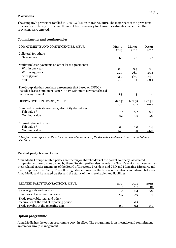#### **Provisions**

The company's provisions totalled MEUR 0.4 (1.1) on March 31, 2013. The major part of the provisions concern restructuring provisions. It has not been necessary to change the estimates made when the provisions were entered.

#### **Commitments and contingencies**

| COMMITMENTS AND CONTINGENCIES, MEUR                                                                                                                     | Mar <sub>31</sub><br>2013 | Mar <sub>31</sub><br>2012 | Dec 31<br>2012   |
|---------------------------------------------------------------------------------------------------------------------------------------------------------|---------------------------|---------------------------|------------------|
| Collateral for others                                                                                                                                   |                           |                           |                  |
| Guarantees                                                                                                                                              | 1.3                       | 1.3                       | $1.3\,$          |
| Minimum lease payments on other lease agreements:                                                                                                       |                           |                           |                  |
| Within one year                                                                                                                                         | 8.4                       | 8.4                       | 8.6              |
| Within 1-5 years                                                                                                                                        | 25.0                      | 26.7                      | 25.4             |
| After 5 years                                                                                                                                           | 33.0                      | 46.0                      | 34.7             |
| Total                                                                                                                                                   | 66.4                      | 81.2                      | 68.7             |
| The Group also has purchase agreements that based on IFRIC 4<br>include a lease component as per IAS 17. Minimum payments based<br>on these agreements: | 1.3                       | 1.3                       | $1.6\phantom{0}$ |
| DERIVATIVE CONTRACTS, MEUR                                                                                                                              | Mar 31<br>2013            | Mar $31$<br>2012          | Dec 31<br>2012   |
| Commodity derivate contracts, electricity derivatives                                                                                                   |                           |                           |                  |
| Fair value *                                                                                                                                            | $-0.1$                    | $-0.2$                    | $-0.1$           |
| Nominal value                                                                                                                                           | 0.7                       | 1.2                       | 0.8              |
| Interest rate derivatives                                                                                                                               |                           |                           |                  |
| Fair value *                                                                                                                                            | $-0.4$                    | 0.0                       | $-0.4$           |
| Nominal value                                                                                                                                           | 24.0                      | 0.0                       | 24.0             |

*\* The fair value represents the return that would have arisen if the derivative had been cleared on the balance sheet date.*

# **Related party transactions**

Alma Media Group's related parties are the major shareholders of the parent company, associated companies and companies owned by them. Related parties also include the Group's senior management and their related parties (members of the Board of Directors, President and CEO and Managing Directors, and the Group Executive Team). The following table summarises the business operations undertaken between Alma Media and its related parties and the status of their receivables and liabilities:

| RELATED PARTY TRANSACTIONS, MEUR           | 2013    | 2012    | 2012     |
|--------------------------------------------|---------|---------|----------|
|                                            | $1 - 3$ | $1 - 3$ | $1 - 12$ |
| Sales of goods and services                | 0.1     | 0.4     | 0.8      |
| Purchases of goods and services            | 0.7     | 0.9     | 3.4      |
| Trade receivable, loan and other           |         |         |          |
| receivables at the end of reporting period |         | 0.1     |          |
| Trade payable at the reporting date        | 0.0     | 0.1     | 0.1      |

# **Option programme**

Alma Media has the option programme 2009 in effect. The programme is an incentive and commitment system for Group management.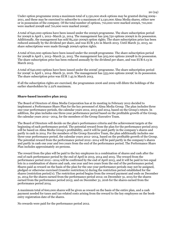Under option programme 2009 a maximum total of 2,130,000 stock options may be granted during 2009– 2011, and these may be exercised to subscribe to a maximum of 2,130,000 Alma Media shares, either new or in possession of the company. Of the total number of options, 710,000 were marked 2009A, 710,000 were marked 2009B and 710,000 were marked 2009C.

A total of 640,000 options have been issued under the 2009A programme. The share subscription period for 2009A is April 1, 2012–March 31, 2014. The management has 509,750 options 2009A in its possession. Additionally, the management has sold 85,250 2009A option rights. The share subscription price has been reduced annually by the dividend per share, and was EUR 3.61 in March 2013. Until March 31, 2013, no share subscriptions were made through 2009A option rights.

A total of 610,000 options have been issued under the 2009B programme. The share subscription period for 2009B is April 1, 2013–March 31, 2015. The management has 505,000 options 2009B in its possession. The share subscription price has been reduced annually by the dividend per share, and was EUR 6.13 in March 2013.

A total of 640,000 options have been issued under the 2009C programme. The share subscription period for 2009C is April 1, 2014–March 31, 2016. The management has 535,000 options 2009C in its possession. The share subscription price was EUR 7.45 in March 2013.

If all the subscription rights are exercised, the programmes 2006 and 2009 will dilute the holdings of the earlier shareholders by 2.22% maximum.

#### **Share-based incentive plan 2013**

The Board of Directors of Alma Media Corporation has at its meeting in February 2012 decided to implement a Performance Share Plan for the key personnel of Alma Media Group. The plan includes three one-year performance periods, the calendar years 2012, 2013 and 2014, based on the Group's return. In addition, the plan includes one three-year performance period based on the profitable growth of the Group, the calendar years 2012—2014, for the members of the Group Executive Team.

The Board of Directors will decide on the plan's performance criteria and the achievement targets at the beginning of each performance period. The potential reward from the plan for the performance period 2013 will be based on Alma Media Group's profitability, and it will be paid partly in the company's shares and partly in cash in 2014. For the members of the Group Executive Team, the plan additionally includes one three-year performance period, the calendar years 2012–2014, based on the profitable growth of the Group. The potential reward from the performance period 2012–2014 will be paid partly in the company's shares and partly in cash one year and two years from the end of the performance period. The Performance Share Plan includes approximately 20 persons.

The reward from the plan will be paid to the key employees in a combination of shares and cash after the end of each performance period by the end of April in 2013, 2014 and 2015. The reward from the performance period 2012—2014 will be confirmed by the end of April 2015, and it will be paid in two equal lots in a combination of shares and cash, one year and two years from the end of the performance period. Shares paid as reward on the basis of the plan for the one-year performance periods may not be assigned, pledged or otherwise exercised (transfer restriction/s) during the restriction period established for the shares (restriction period/s). The restriction period begins from the reward payment and ends on December 31, 2014 for the shares earned from the performance period 2012; on December 31, 2015 for the shares earned from the performance period 2013; and on December 31, 2016 for the shares earned from the performance period 2014.

A maximum total of 600,000 shares will be given as reward on the basis of the entire plan, and a cash payment needed for taxes and tax-related costs arising from the reward to the key employees on the bookentry registration date of the shares.

No rewards were paid for the performance period 2012.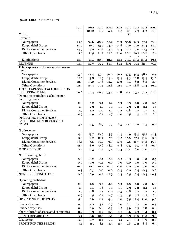# QUARTERLY INFORMATION

|                                                  | 2013          | 2012             | 2012          | 2012          | 2012          |               | 2011 2011 2011 |            | 2011           |
|--------------------------------------------------|---------------|------------------|---------------|---------------|---------------|---------------|----------------|------------|----------------|
| <b>MEUR</b>                                      | $1 - 3$       | $10 - 12$        | $7 - 9$       | $4 - 6$       | $1 - 3$       | $10-$<br>12   | $7 - 9$        | $4 - 6$    | $1 - 3$        |
| Revenue                                          |               |                  |               |               |               |               |                |            |                |
| Newspapers                                       | 45.6          | 52.6             | 48.9          | 53.2          | 51.9          | 55.8          | 52.5           | 57.1       | 53.0           |
| Kauppalehti Group                                | 14.0          | 16.1             | 13.2          | 14.9          | 14.8          | 15.6          | 13.0           | 15.4       | 14.3           |
| <b>Digital Consumer Services</b>                 | 14.9          | 14.0             | 12.8          | 13.3          | 14.4          | 10.2          | 9.9            | 10.5       | 10.0           |
| <b>Other Operations</b>                          | 21.7          | 21.5             | 21.2          | 21.0          | 21.0          | 20.2          |                | 20.1 20.2  | 19.1           |
|                                                  |               |                  |               |               |               |               |                |            |                |
| Eliminations                                     | $-21.3$       | $-21.4$          | $-20.9$       | $-21.4$       | $-21.1$       | 20.4          |                | 20.4 20.4  | $-19.4$        |
| <b>REVENUE</b>                                   | 74.9          | 82.7             | 75.2          | 81.0          | 81.1          | 81.3          |                | 75.1 82.7  | 77.1           |
| Total expenses excluding non-recurring           |               |                  |               |               |               |               |                |            |                |
| items                                            |               |                  |               |               |               |               |                |            |                |
| Newspapers                                       | 43.6          | 45.4             | 43.6          | 46.0          | 46.1          | 47.5          | 45.5           | 48.1       | 46.5           |
| Kauppalehti Group                                | 12.7          | 13.8             | 11.5          | 13.8          | 13.3          | 13.3          | 10.8           | 13.3       | 13.0           |
| <b>Digital Consumer Services</b>                 | 12.3          | 13.0             | 10.8          | 12.2          | 12.3          | 9.4           | 8.2            | 8.8        | 8.5            |
| <b>Other Operations</b>                          | 22.3          | 23.4             | 21.4          | 22.8          | 22.1          | 21.7          | $18.8\,$       | 21.4       | 19.2           |
| TOTAL EXPENSES EXCLUDING NON-<br>RECURRING ITEMS | 69.6          |                  | 66.4          |               | 72.8          |               |                |            | 67.8           |
| Operating profit/loss excluding non-             |               | 74.4             |               | 73.4          |               | 71.4          | 63.1           | 71.2       |                |
| recurring items                                  |               |                  |               |               |               |               |                |            |                |
| Newspapers                                       | 2.0           | 7.2              | 5.4           | 7.2           | 5.9           | 8.3           | 7.0            | 9.0        | 6.5            |
| Kauppalehti Group                                | 1.3           | 2.3              | 1.7           | 1.1           | 1.5           | 2.3           | 2.2            | 2.1        | 1.4            |
| <b>Digital Consumer Services</b>                 | 2.7           | 1.0              | 2.0           | 1.2           | 2.2           | 0.8           | 1.7            | 1.7        | 1.5            |
| <b>Other Operations</b>                          | $-0.5$        | $-1.9$           | $-0.1$        | $-1.7$        | $-1.0$        | $-1.5$        | 1.3            | $-1.2$     | $-0.1$         |
| <b>OPERATING PROFIT/LOSS</b>                     |               |                  |               |               |               |               |                |            |                |
| <b>EXCLUDING NON-RECURRING</b>                   |               |                  |               |               |               |               |                |            |                |
| <b>ITEMS</b>                                     | 5.5           | 8.5              | 8.9           | 7.7           | 8.5           |               | 10.1 12.0      | 11.5       | 9.3            |
| % of revenue                                     |               |                  |               |               |               |               |                |            |                |
| Newspapers                                       | 4.4           | 13.7             | 10.9          | 13.5          | 11.3          | 14.9          | 13.3           | 15.7       | 12.3           |
| Kauppalehti Group                                | 9.6           | 14.2             | 12.9          | 7.1           | 10.2          | 15.0          | 17.1           | 13.6       | 9.6            |
| <b>Digital Consumer Services</b>                 | 18.1          | 6.8              | 15.7          | 9.0           | 14.9          | 7.8           | 16.7           | 15.8       | 15.0           |
| <b>Other Operations</b>                          | $-2.4$        | $-8.6$           | $-0.6$        | $-8.2$        | $-4.8$        | $-7.5$        | 6.5            | $-5.8$     | $-0.3$         |
| % OF REVENUE                                     | 7.3           | 10.3             | 11.8          | 9.5           | 10.4          | 12.4          | 16.0           | 14.0       | 12.1           |
| Non-recurring items                              |               |                  |               |               |               |               |                |            |                |
| Newspapers                                       |               |                  |               | $-2.6$        |               |               |                |            |                |
| Kauppalehti Group                                | 0.0           | $-0.2$           | $-0.1$        |               | $-0.5$        | $-0.5$<br>0.0 | $0.0\,$        | 0.0        | $-0.5$         |
| <b>Digital Consumer Services</b>                 | 0.0<br>$-0.3$ | $-0.9$<br>$-0.1$ | $-0.1$        | 0.0<br>$-0.3$ | 0.0<br>$-1.6$ | 0.0           | 0.0<br>0.0     | 0.0<br>0.0 | $0.0\,$<br>0.2 |
| <b>Other Operations</b>                          | 0.3           | 0.3              | $-0.5$<br>0.0 | 0.0           | $-0.3$        | 0.0           | 0.4            | $-0.5$     | $0.0\,$        |
| NON-RECURRING ITEMS                              | 0.0           | $-0.9$           | $-0.7$        | $-2.9$        | $-2.5$        | $-0.5$        | 0.4            | $-0.5$     | $-0.3$         |
|                                                  |               |                  |               |               |               |               |                |            |                |
| Operating profit/loss                            |               |                  |               |               |               |               |                |            |                |
| Newspapers                                       | 2.0           | 7.0              | 5.2           | 4.6           | 5.3           | $7.8$         | 7.0            | 9.0        | 6.0            |
| Kauppalehti Group                                | 1.3           | 1.4              | 1.6           | 1.1           | 1.5           | 2.3           | 2.2            | 2.1        | 1.4            |
| <b>Digital Consumer Services</b>                 | 2.7           | 0.8              | 1.5           | 0.9           | 0.5           | 0.8           | 1.7            | 1.7        | 1.7            |
| <b>Other Operations</b>                          | $-0.5$        | $-1.5$           | $-0.1$        | $-1.7$        | $-1.3$        | $-1.5$        | 1.7            | $-1.7$     | $-0.1$         |
| OPERATING PROFIT/LOSS                            | 5.4           | 7.6              | 8.1           | 4.8           | 6.0           | 9.5           | 12.4           | 11.0       | 9.0            |
| Finance income                                   | 0.4           | 1.0              | 3.1           | 0.7           | 0.0           | 0.2           | 1.2            | 1.0        | 0.5            |
| Finance expenses                                 | 0.6           | 0.9              | 0.6           | 0.3           | 1.7           | 3.9           | 0.3            | 0.8        | 0.6            |
| Share of profit of associated companies          | 0.2           | $-3.9$           | $-0.2$        | 0.3           | $-0.5$        | $-0.6$        | 2.3            | 0.4        | 0.4            |
| PROFIT BEFORE TAX                                | 5.4           | 3.8              | 10.5          | 5.6           | 3.8           | 5.3           | 15.6           | 11.8       | 9.3            |
| Income tax                                       | $-1.3$        | $-1.7$           | $-2.4$        | $-1.1$        | $-1.1$        | $-2.4$        | $-3.4$         | $-3.0$     | $-2.4$         |
| PROFIT FOR THE PERIOD                            | 4.1           | 2.1              | 8.1           | 4.5           | 2.7           | 2.8           | 12.2           | 8.8        | 6.9            |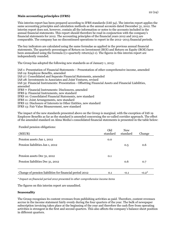# **Main accounting principles (IFRS)**

This interim report has been prepared according to IFRS standards (IAS 34). The interim report applies the same accounting principles and calculation methods as the annual accounts dated December 31, 2012. The interim report does not, however, contain all the information or notes to the accounts included in the annual financial statements. This report should therefore be read in conjunction with the company's financial statements for 2012. The accounting principles of the financial years 2012 and 2013 are comparable. The company has no discontinued operations to report in the 2012–2013 financial periods.

The key indicators are calculated using the same formulae as applied in the previous annual financial statements. The quarterly percentages of Return on Investment (ROI) and Return on Equity (ROE) have been annualised using the formula  $((1+quarterly return)4)-1$ . The figures in this interim report are independently rounded.

The Group has adopted the following new standards as of January 1, 2013:

IAS 1: Presentation of Financial Statements – Presentation of other comprehensive income, amended IAS 19: Employee Benefits, amended IAS 27: Consolidated and Separate Financial Statements, amended IAS 28: Investments in Associates and Joint Ventures, revised IAS 32: Financial Instruments: Presentation - Offsetting Financial Assets and Financial Liabilities, amended IFRS 7: Financial Instruments: Disclosures, amended IFRS 9: Financial Instruments, new standard IFRS 10: Consolidated Financial Statements, new standard IFRS 11: Joint Arrangements, new standard IFRS 12: Disclosure of Interests in Other Entities, new standard IFRS 13: Fair Value Measurement, new standard

The impact of the new standards presented above on the Group is marginal, with the exception of IAS 19 Employee Benefits as far as the standard is amended concerning the so-called corridor approach. The effect of the amended standard on Alma Media's consolidated financial statements is presented in the table below:

Funded pension obligations:

| (MEUR)                                                  | Old<br>standard | <b>New</b><br>standard | Change  |
|---------------------------------------------------------|-----------------|------------------------|---------|
| Pension assets Jan 1, 2012                              | 0.0             |                        |         |
| Pension liabilities Jan 1, 2012                         |                 | 0.5                    | 0.6     |
|                                                         |                 |                        |         |
| Pension assets Dec 31, 2012                             | 0.1             |                        |         |
| Pension liabilities Dec 31, 2012                        |                 | 0.6                    | 0.7     |
|                                                         |                 |                        |         |
| Change of pension liabilities for financial period 2012 | 0.1             | $-0.1$                 | $-0.2*$ |

*\* Impact on financial period 2012 presented in other comprehensive income items*

The figures on this interim report are unaudited.

# **Seasonality**

The Group recognises its content revenues from publishing activities as paid. Therefore, content revenues accrue in the income statement fairly evenly during the four quarters of the year. The bulk of newspaper subscription invoicing takes place at the beginning of the year and therefore the cash flow from operating activities is strongest in the first and second quarters. This also affects the company's balance sheet position in different quarters.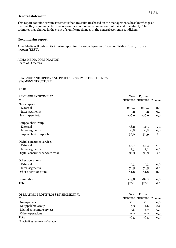#### **General statement**

This report contains certain statements that are estimates based on the management's best knowledge at the time they were made. For this reason they contain a certain amount of risk and uncertainty. The estimates may change in the event of significant changes in the general economic conditions.

#### **Next interim report**

Alma Media will publish its interim report for the second quarter of 2013 on Friday, July 19, 2013 at 9:00am (EEST).

ALMA MEDIA CORPORATION Board of Directors

#### REVENUE AND OPERATING PROFIT BY SEGMENT IN THE NEW SEGMENT STRUCTURE

#### **2012**

| REVENUE BY SEGMENT,<br><b>MEUR</b> | <b>New</b> | Former<br>structure structure Change |              |
|------------------------------------|------------|--------------------------------------|--------------|
| Newspapers                         |            |                                      |              |
| External                           | 203,4      | 203,4                                | $_{0,0}$     |
| Inter-segments                     | 3,2        | 3,2                                  | $_{0,0}$     |
| Newspapers total                   | 206,6      | 206,6                                | $_{0,0}$     |
| Kauppalehti Group                  |            |                                      |              |
| External                           | 58,2       | 56,1                                 | $_{2,1}$     |
| Inter-segments                     | 0,8        | 0,8                                  | $_{0,0}$     |
| Kauppalehti Group total            | 59,0       | 56,9                                 | 2,1          |
| Digital consumer services          |            |                                      |              |
| External                           | 52,2       | 54,3                                 | $^{-2,1}$    |
| Inter-segments                     | 2,3        | 2,2                                  | $_{0,0}$     |
| Digital consumer services total    | 54,5       | 56,5                                 | $-2,1$       |
| Other operations                   |            |                                      |              |
| External                           | 6,3        | 6,3                                  | $_{0,0}$     |
| Inter-segments                     | 78,5       | 78,5                                 | $_{0,0}$     |
| Other operations total             | 84,8       | 84,8                                 | $_{0,0}$     |
| Elimination                        | $-84,8$    | $-84,7$                              | $_{\rm 0,0}$ |
| Total                              | 320,1      | 320,1                                | $_{0,0}$     |

| OPERATING PROFIT/LOSS BY SEGMENT *), | <b>New</b> | Former                     |          |
|--------------------------------------|------------|----------------------------|----------|
| <b>MEUR</b>                          |            | structure structure Change |          |
| Newspapers                           | 22,1       | 22,1                       | 0,0      |
| Kauppalehti Group                    | 5,5        | 4,6                        | 0,9      |
| Digital consumer services            | 3,8        | 4,7                        | $-0,9$   |
| Other operations                     | $-4,7$     | $-4,7$                     | $_{0,0}$ |
| Total                                | 26,5       | 26,5                       | 0,0      |

*\*) including non-recurring items*